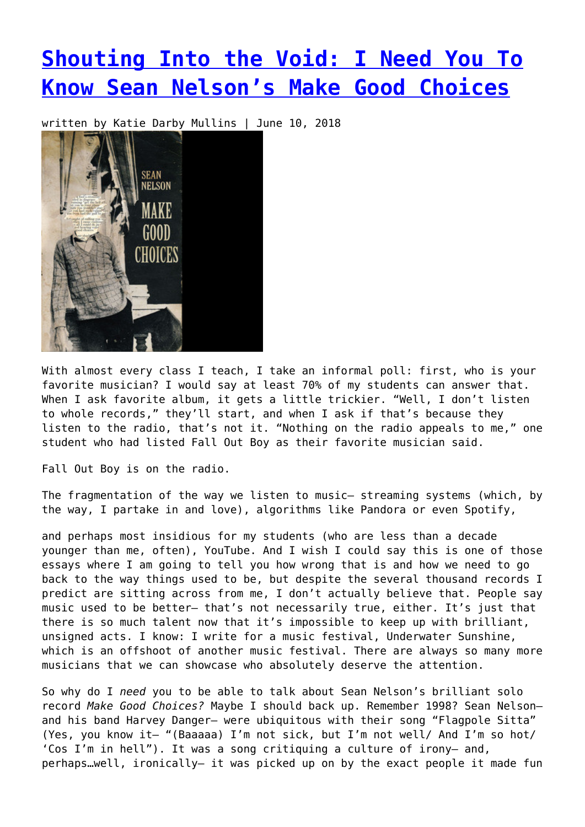## **[Shouting Into the Void: I Need You To](https://entropymag.org/shouting-into-the-void-i-need-you-to-know-sean-nelsons-make-good-choices/) [Know Sean Nelson's Make Good Choices](https://entropymag.org/shouting-into-the-void-i-need-you-to-know-sean-nelsons-make-good-choices/)**

written by Katie Darby Mullins | June 10, 2018



With almost every class I teach, I take an informal poll: first, who is your favorite musician? I would say at least 70% of my students can answer that. When I ask favorite album, it gets a little trickier. "Well, I don't listen to whole records," they'll start, and when I ask if that's because they listen to the radio, that's not it. "Nothing on the radio appeals to me," one student who had listed Fall Out Boy as their favorite musician said.

Fall Out Boy is on the radio.

The fragmentation of the way we listen to music— streaming systems (which, by the way, I partake in and love), algorithms like Pandora or even Spotify,

and perhaps most insidious for my students (who are less than a decade younger than me, often), YouTube. And I wish I could say this is one of those essays where I am going to tell you how wrong that is and how we need to go back to the way things used to be, but despite the several thousand records I predict are sitting across from me, I don't actually believe that. People say music used to be better— that's not necessarily true, either. It's just that there is so much talent now that it's impossible to keep up with brilliant, unsigned acts. I know: I write for a music festival, Underwater Sunshine, which is an offshoot of another music festival. There are always so many more musicians that we can showcase who absolutely deserve the attention.

So why do I *need* you to be able to talk about Sean Nelson's brilliant solo record *Make Good Choices?* Maybe I should back up. Remember 1998? Sean Nelson and his band Harvey Danger— were ubiquitous with their song "Flagpole Sitta" (Yes, you know it— "(Baaaaa) I'm not sick, but I'm not well/ And I'm so hot/ 'Cos I'm in hell"). It was a song critiquing a culture of irony— and, perhaps…well, ironically— it was picked up on by the exact people it made fun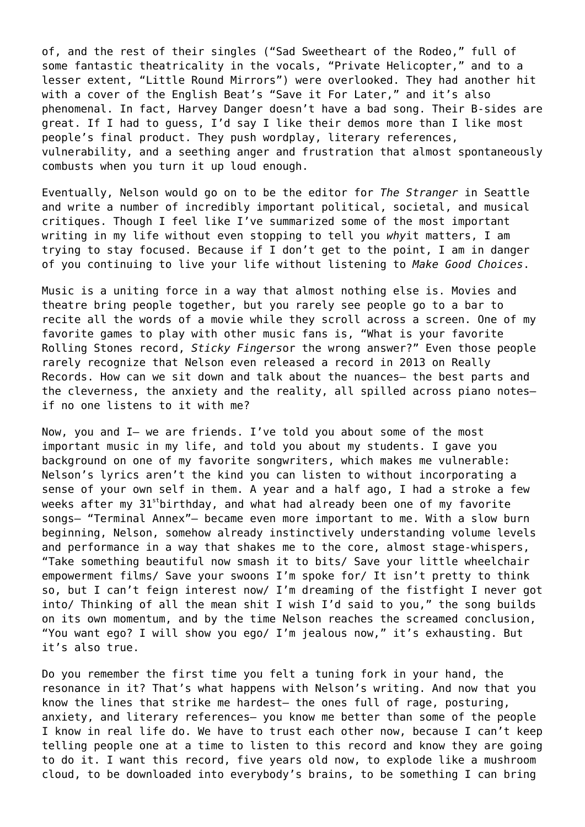of, and the rest of their singles ("Sad Sweetheart of the Rodeo," full of some fantastic theatricality in the vocals, "Private Helicopter," and to a lesser extent, "Little Round Mirrors") were overlooked. They had another hit with a cover of the English Beat's "Save it For Later," and it's also phenomenal. In fact, Harvey Danger doesn't have a bad song. Their B-sides are great. If I had to guess, I'd say I like their demos more than I like most people's final product. They push wordplay, literary references, vulnerability, and a seething anger and frustration that almost spontaneously combusts when you turn it up loud enough.

Eventually, Nelson would go on to be the editor for *The Stranger* in Seattle and write a number of incredibly important political, societal, and musical critiques. Though I feel like I've summarized some of the most important writing in my life without even stopping to tell you *why*it matters, I am trying to stay focused. Because if I don't get to the point, I am in danger of you continuing to live your life without listening to *Make Good Choices*.

Music is a uniting force in a way that almost nothing else is. Movies and theatre bring people together, but you rarely see people go to a bar to recite all the words of a movie while they scroll across a screen. One of my favorite games to play with other music fans is, "What is your favorite Rolling Stones record, *Sticky Fingers*or the wrong answer?" Even those people rarely recognize that Nelson even released a record in 2013 on Really Records. How can we sit down and talk about the nuances— the best parts and the cleverness, the anxiety and the reality, all spilled across piano notes if no one listens to it with me?

Now, you and I— we are friends. I've told you about some of the most important music in my life, and told you about my students. I gave you background on one of my favorite songwriters, which makes me vulnerable: Nelson's lyrics aren't the kind you can listen to without incorporating a sense of your own self in them. A year and a half ago, I had a stroke a few weeks after my  $31^{st}$ birthday, and what had already been one of my favorite songs— "Terminal Annex"— became even more important to me. With a slow burn beginning, Nelson, somehow already instinctively understanding volume levels and performance in a way that shakes me to the core, almost stage-whispers, "Take something beautiful now smash it to bits/ Save your little wheelchair empowerment films/ Save your swoons I'm spoke for/ It isn't pretty to think so, but I can't feign interest now/ I'm dreaming of the fistfight I never got into/ Thinking of all the mean shit I wish I'd said to you," the song builds on its own momentum, and by the time Nelson reaches the screamed conclusion, "You want ego? I will show you ego/ I'm jealous now," it's exhausting. But it's also true.

Do you remember the first time you felt a tuning fork in your hand, the resonance in it? That's what happens with Nelson's writing. And now that you know the lines that strike me hardest— the ones full of rage, posturing, anxiety, and literary references— you know me better than some of the people I know in real life do. We have to trust each other now, because I can't keep telling people one at a time to listen to this record and know they are going to do it. I want this record, five years old now, to explode like a mushroom cloud, to be downloaded into everybody's brains, to be something I can bring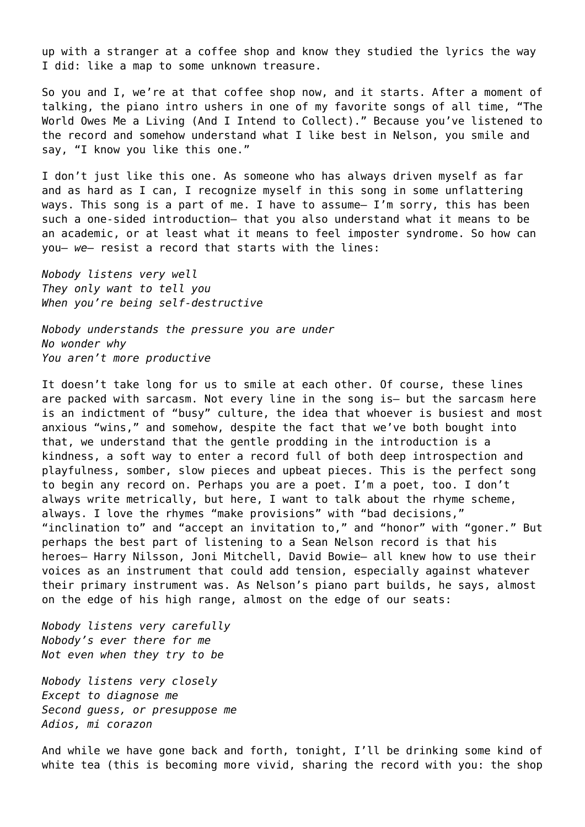up with a stranger at a coffee shop and know they studied the lyrics the way I did: like a map to some unknown treasure.

So you and I, we're at that coffee shop now, and it starts. After a moment of talking, the piano intro ushers in one of my favorite songs of all time, "The World Owes Me a Living (And I Intend to Collect)." Because you've listened to the record and somehow understand what I like best in Nelson, you smile and say, "I know you like this one."

I don't just like this one. As someone who has always driven myself as far and as hard as I can, I recognize myself in this song in some unflattering ways. This song is a part of me. I have to assume— I'm sorry, this has been such a one-sided introduction— that you also understand what it means to be an academic, or at least what it means to feel imposter syndrome. So how can you— *we*— resist a record that starts with the lines:

*Nobody listens very well They only want to tell you When you're being self-destructive*

*Nobody understands the pressure you are under No wonder why You aren't more productive*

It doesn't take long for us to smile at each other. Of course, these lines are packed with sarcasm. Not every line in the song is— but the sarcasm here is an indictment of "busy" culture, the idea that whoever is busiest and most anxious "wins," and somehow, despite the fact that we've both bought into that, we understand that the gentle prodding in the introduction is a kindness, a soft way to enter a record full of both deep introspection and playfulness, somber, slow pieces and upbeat pieces. This is the perfect song to begin any record on. Perhaps you are a poet. I'm a poet, too. I don't always write metrically, but here, I want to talk about the rhyme scheme, always. I love the rhymes "make provisions" with "bad decisions," "inclination to" and "accept an invitation to," and "honor" with "goner." But perhaps the best part of listening to a Sean Nelson record is that his heroes— Harry Nilsson, Joni Mitchell, David Bowie— all knew how to use their voices as an instrument that could add tension, especially against whatever their primary instrument was. As Nelson's piano part builds, he says, almost on the edge of his high range, almost on the edge of our seats:

*Nobody listens very carefully Nobody's ever there for me Not even when they try to be*

*Nobody listens very closely Except to diagnose me Second guess, or presuppose me Adios, mi corazon*

And while we have gone back and forth, tonight, I'll be drinking some kind of white tea (this is becoming more vivid, sharing the record with you: the shop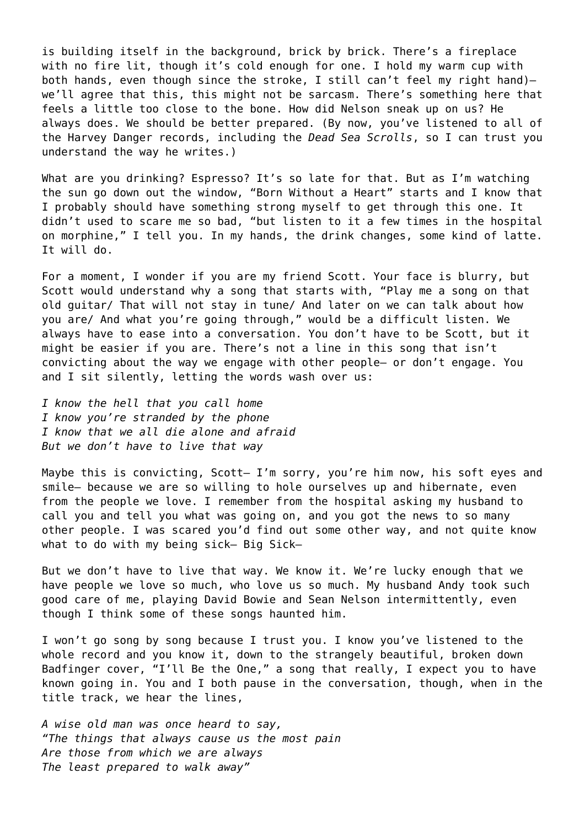is building itself in the background, brick by brick. There's a fireplace with no fire lit, though it's cold enough for one. I hold my warm cup with both hands, even though since the stroke, I still can't feel my right hand) we'll agree that this, this might not be sarcasm. There's something here that feels a little too close to the bone. How did Nelson sneak up on us? He always does. We should be better prepared. (By now, you've listened to all of the Harvey Danger records, including the *Dead Sea Scrolls*, so I can trust you understand the way he writes.)

What are you drinking? Espresso? It's so late for that. But as I'm watching the sun go down out the window, "Born Without a Heart" starts and I know that I probably should have something strong myself to get through this one. It didn't used to scare me so bad, "but listen to it a few times in the hospital on morphine," I tell you. In my hands, the drink changes, some kind of latte. It will do.

For a moment, I wonder if you are my friend Scott. Your face is blurry, but Scott would understand why a song that starts with, "Play me a song on that old guitar/ That will not stay in tune/ And later on we can talk about how you are/ And what you're going through," would be a difficult listen. We always have to ease into a conversation. You don't have to be Scott, but it might be easier if you are. There's not a line in this song that isn't convicting about the way we engage with other people— or don't engage. You and I sit silently, letting the words wash over us:

*I know the hell that you call home I know you're stranded by the phone I know that we all die alone and afraid But we don't have to live that way*

Maybe this is convicting, Scott- I'm sorry, you're him now, his soft eyes and smile— because we are so willing to hole ourselves up and hibernate, even from the people we love. I remember from the hospital asking my husband to call you and tell you what was going on, and you got the news to so many other people. I was scared you'd find out some other way, and not quite know what to do with my being sick— Big Sick—

But we don't have to live that way. We know it. We're lucky enough that we have people we love so much, who love us so much. My husband Andy took such good care of me, playing David Bowie and Sean Nelson intermittently, even though I think some of these songs haunted him.

I won't go song by song because I trust you. I know you've listened to the whole record and you know it, down to the strangely beautiful, broken down Badfinger cover, "I'll Be the One," a song that really, I expect you to have known going in. You and I both pause in the conversation, though, when in the title track, we hear the lines,

*A wise old man was once heard to say, "The things that always cause us the most pain Are those from which we are always The least prepared to walk away"*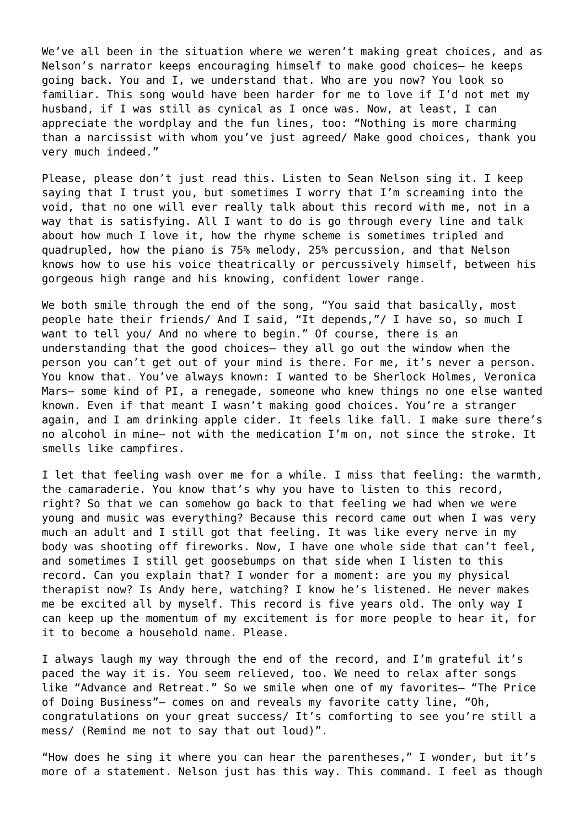We've all been in the situation where we weren't making great choices, and as Nelson's narrator keeps encouraging himself to make good choices— he keeps going back. You and I, we understand that. Who are you now? You look so familiar. This song would have been harder for me to love if I'd not met my husband, if I was still as cynical as I once was. Now, at least, I can appreciate the wordplay and the fun lines, too: "Nothing is more charming than a narcissist with whom you've just agreed/ Make good choices, thank you very much indeed."

Please, please don't just read this. Listen to Sean Nelson sing it. I keep saying that I trust you, but sometimes I worry that I'm screaming into the void, that no one will ever really talk about this record with me, not in a way that is satisfying. All I want to do is go through every line and talk about how much I love it, how the rhyme scheme is sometimes tripled and quadrupled, how the piano is 75% melody, 25% percussion, and that Nelson knows how to use his voice theatrically or percussively himself, between his gorgeous high range and his knowing, confident lower range.

We both smile through the end of the song, "You said that basically, most people hate their friends/ And I said, "It depends,"/ I have so, so much I want to tell you/ And no where to begin." Of course, there is an understanding that the good choices— they all go out the window when the person you can't get out of your mind is there. For me, it's never a person. You know that. You've always known: I wanted to be Sherlock Holmes, Veronica Mars— some kind of PI, a renegade, someone who knew things no one else wanted known. Even if that meant I wasn't making good choices. You're a stranger again, and I am drinking apple cider. It feels like fall. I make sure there's no alcohol in mine— not with the medication I'm on, not since the stroke. It smells like campfires.

I let that feeling wash over me for a while. I miss that feeling: the warmth, the camaraderie. You know that's why you have to listen to this record, right? So that we can somehow go back to that feeling we had when we were young and music was everything? Because this record came out when I was very much an adult and I still got that feeling. It was like every nerve in my body was shooting off fireworks. Now, I have one whole side that can't feel, and sometimes I still get goosebumps on that side when I listen to this record. Can you explain that? I wonder for a moment: are you my physical therapist now? Is Andy here, watching? I know he's listened. He never makes me be excited all by myself. This record is five years old. The only way I can keep up the momentum of my excitement is for more people to hear it, for it to become a household name. Please.

I always laugh my way through the end of the record, and I'm grateful it's paced the way it is. You seem relieved, too. We need to relax after songs like "Advance and Retreat." So we smile when one of my favorites— "The Price of Doing Business"— comes on and reveals my favorite catty line, "Oh, congratulations on your great success/ It's comforting to see you're still a mess/ (Remind me not to say that out loud)".

"How does he sing it where you can hear the parentheses," I wonder, but it's more of a statement. Nelson just has this way. This command. I feel as though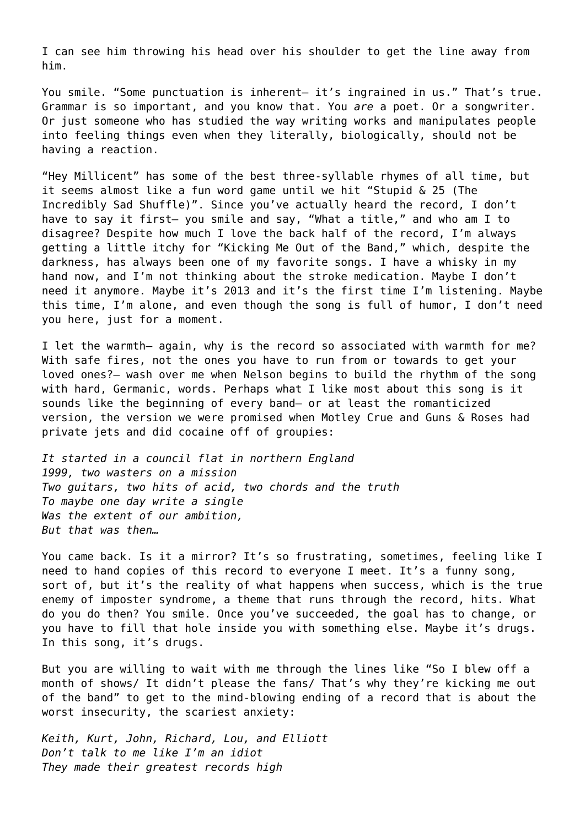I can see him throwing his head over his shoulder to get the line away from him.

You smile. "Some punctuation is inherent- it's ingrained in us." That's true. Grammar is so important, and you know that. You *are* a poet. Or a songwriter. Or just someone who has studied the way writing works and manipulates people into feeling things even when they literally, biologically, should not be having a reaction.

"Hey Millicent" has some of the best three-syllable rhymes of all time, but it seems almost like a fun word game until we hit "Stupid & 25 (The Incredibly Sad Shuffle)". Since you've actually heard the record, I don't have to say it first— you smile and say, "What a title," and who am I to disagree? Despite how much I love the back half of the record, I'm always getting a little itchy for "Kicking Me Out of the Band," which, despite the darkness, has always been one of my favorite songs. I have a whisky in my hand now, and I'm not thinking about the stroke medication. Maybe I don't need it anymore. Maybe it's 2013 and it's the first time I'm listening. Maybe this time, I'm alone, and even though the song is full of humor, I don't need you here, just for a moment.

I let the warmth— again, why is the record so associated with warmth for me? With safe fires, not the ones you have to run from or towards to get your loved ones?— wash over me when Nelson begins to build the rhythm of the song with hard, Germanic, words. Perhaps what I like most about this song is it sounds like the beginning of every band— or at least the romanticized version, the version we were promised when Motley Crue and Guns & Roses had private jets and did cocaine off of groupies:

*It started in a council flat in northern England 1999, two wasters on a mission Two guitars, two hits of acid, two chords and the truth To maybe one day write a single Was the extent of our ambition, But that was then…*

You came back. Is it a mirror? It's so frustrating, sometimes, feeling like I need to hand copies of this record to everyone I meet. It's a funny song, sort of, but it's the reality of what happens when success, which is the true enemy of imposter syndrome, a theme that runs through the record, hits. What do you do then? You smile. Once you've succeeded, the goal has to change, or you have to fill that hole inside you with something else. Maybe it's drugs. In this song, it's drugs.

But you are willing to wait with me through the lines like "So I blew off a month of shows/ It didn't please the fans/ That's why they're kicking me out of the band" to get to the mind-blowing ending of a record that is about the worst insecurity, the scariest anxiety:

*Keith, Kurt, John, Richard, Lou, and Elliott Don't talk to me like I'm an idiot They made their greatest records high*